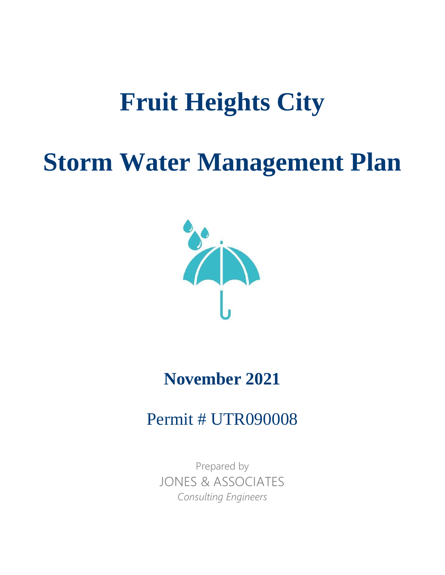# **Fruit Heights City**

# **Storm Water Management Plan**



# **November 2021**

# Permit # UTR090008

Prepared by JONES & ASSOCIATES *Consulting Engineers*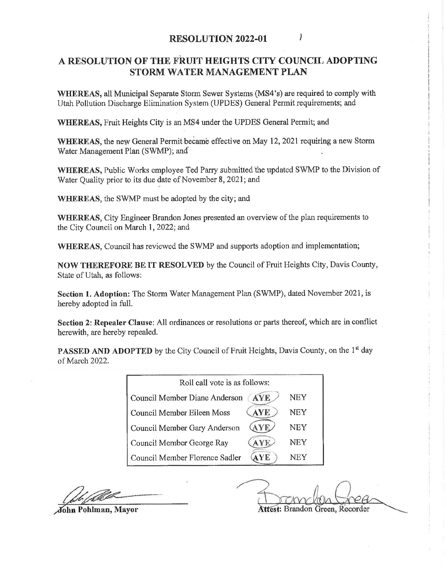# A RESOLUTION OF THE FRUIT HEIGHTS CITY COUNCIL ADOPTING STORM WATER MANAGEMENT PLAN

WHEREAS, all Municipal Separate Storm Sewer Systems (MS4's) are required to comply with Utah Pollution Discharge Elimination System (UPDES) General Permit requirements; and

WHEREAS, Fruit Heights City is an MS4 under the UPDES General Permit; and

WHEREAS, the new General Permit became effective on May 12, 2021 requiring a new Storm Water Management Plan (SWMP); and

WHEREAS, Public Works employee Ted Parry submitted the updated SWMP to the Division of Water Quality prior to its due date of November 8, 2021; and

WHEREAS, the SWMP must be adopted by the city; and

**WHEREAS.** City Engineer Brandon Jones presented an overview of the plan requirements to the City Council on March 1, 2022; and

WHEREAS, Council has reviewed the SWMP and supports adoption and implementation;

**NOW THEREFORE BE IT RESOLVED** by the Council of Fruit Heights City, Davis County, State of Utah, as follows:

Section 1. Adoption: The Storm Water Management Plan (SWMP), dated November 2021, is hereby adopted in full.

Section 2: Repealer Clause: All ordinances or resolutions or parts thereof, which are in conflict herewith, are hereby repealed.

PASSED AND ADOPTED by the City Council of Fruit Heights, Davis County, on the 1st day of March 2022.

| Roll call vote is as follows:               |     |  |  |  |  |  |  |
|---------------------------------------------|-----|--|--|--|--|--|--|
| <b>AYE</b><br>Council Member Diane Anderson | NEY |  |  |  |  |  |  |
| <b>AYE</b><br>Council Member Eileen Moss    | NEY |  |  |  |  |  |  |
| Council Member Gary Anderson                | NEY |  |  |  |  |  |  |
| Council Member George Ray                   | NEY |  |  |  |  |  |  |
| Council Member Florence Sadler<br>YE.       | NEY |  |  |  |  |  |  |

Attest: Brandon Green. Recorder

John Pohlman, Mayor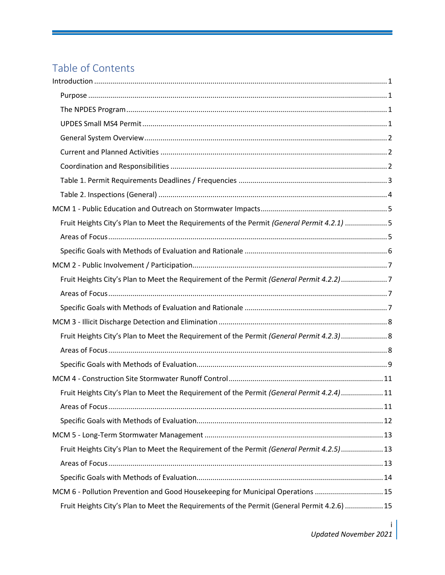# Table of Contents

| Fruit Heights City's Plan to Meet the Requirements of the Permit (General Permit 4.2.1) 5   |  |
|---------------------------------------------------------------------------------------------|--|
|                                                                                             |  |
|                                                                                             |  |
|                                                                                             |  |
| Fruit Heights City's Plan to Meet the Requirement of the Permit (General Permit 4.2.2)7     |  |
|                                                                                             |  |
|                                                                                             |  |
|                                                                                             |  |
| Fruit Heights City's Plan to Meet the Requirement of the Permit (General Permit 4.2.3) 8    |  |
|                                                                                             |  |
|                                                                                             |  |
|                                                                                             |  |
| Fruit Heights City's Plan to Meet the Requirement of the Permit (General Permit 4.2.4)11    |  |
|                                                                                             |  |
|                                                                                             |  |
|                                                                                             |  |
| Fruit Heights City's Plan to Meet the Requirement of the Permit (General Permit 4.2.5) 13   |  |
|                                                                                             |  |
|                                                                                             |  |
| MCM 6 - Pollution Prevention and Good Housekeeping for Municipal Operations  15             |  |
| Fruit Heights City's Plan to Meet the Requirements of the Permit (General Permit 4.2.6)  15 |  |

i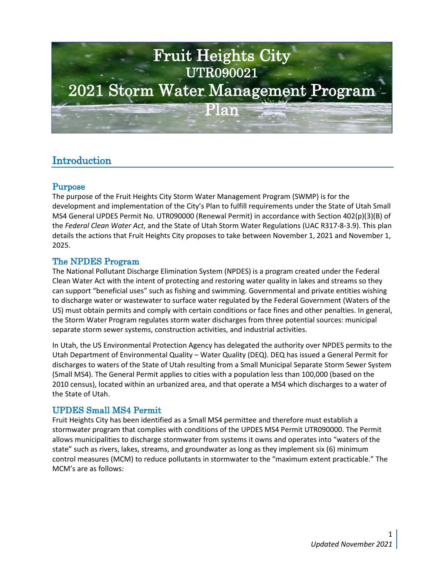

# <span id="page-4-0"></span>Introduction

# <span id="page-4-1"></span>Purpose

The purpose of the Fruit Heights City Storm Water Management Program (SWMP) is for the development and implementation of the City's Plan to fulfill requirements under the State of Utah Small MS4 General UPDES Permit No. UTR090000 (Renewal Permit) in accordance with Section 402(p)(3)(B) of the *Federal Clean Water Act*, and the State of Utah Storm Water Regulations (UAC R317-8-3.9). This plan details the actions that Fruit Heights City proposes to take between November 1, 2021 and November 1, 2025.

# <span id="page-4-2"></span>The NPDES Program

The National Pollutant Discharge Elimination System (NPDES) is a program created under the Federal Clean Water Act with the intent of protecting and restoring water quality in lakes and streams so they can support "beneficial uses" such as fishing and swimming. Governmental and private entities wishing to discharge water or wastewater to surface water regulated by the Federal Government (Waters of the US) must obtain permits and comply with certain conditions or face fines and other penalties. In general, the Storm Water Program regulates storm water discharges from three potential sources: municipal separate storm sewer systems, construction activities, and industrial activities.

In Utah, the US Environmental Protection Agency has delegated the authority over NPDES permits to the Utah Department of Environmental Quality – Water Quality (DEQ). DEQ has issued a General Permit for discharges to waters of the State of Utah resulting from a Small Municipal Separate Storm Sewer System (Small MS4). The General Permit applies to cities with a population less than 100,000 (based on the 2010 census), located within an urbanized area, and that operate a MS4 which discharges to a water of the State of Utah.

# <span id="page-4-3"></span>UPDES Small MS4 Permit

Fruit Heights City has been identified as a Small MS4 permittee and therefore must establish a stormwater program that complies with conditions of the UPDES MS4 Permit UTR090000. The Permit allows municipalities to discharge stormwater from systems it owns and operates into "waters of the state" such as rivers, lakes, streams, and groundwater as long as they implement six (6) minimum control measures (MCM) to reduce pollutants in stormwater to the "maximum extent practicable." The MCM's are as follows: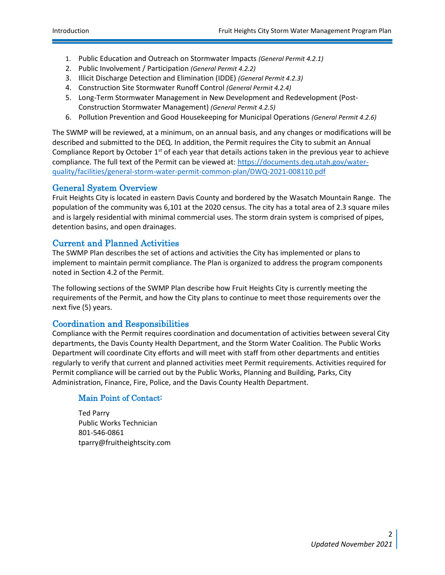- 1. Public Education and Outreach on Stormwater Impacts *(General Permit 4.2.1)*
- 2. Public Involvement / Participation *(General Permit 4.2.2)*
- 3. Illicit Discharge Detection and Elimination (IDDE) *(General Permit 4.2.3)*
- 4. Construction Site Stormwater Runoff Control *(General Permit 4.2.4)*
- 5. Long-Term Stormwater Management in New Development and Redevelopment (Post-Construction Stormwater Management) *(General Permit 4.2.5)*
- 6. Pollution Prevention and Good Housekeeping for Municipal Operations *(General Permit 4.2.6)*

The SWMP will be reviewed, at a minimum, on an annual basis, and any changes or modifications will be described and submitted to the DEQ. In addition, the Permit requires the City to submit an Annual Compliance Report by October  $1<sup>st</sup>$  of each year that details actions taken in the previous year to achieve compliance. The full text of the Permit can be viewed at: [https://documents.deq.utah.gov/water](https://documents.deq.utah.gov/water-quality/facilities/general-storm-water-permit-common-plan/DWQ-2021-008110.pdf)[quality/facilities/general-storm-water-permit-common-plan/DWQ-2021-008110.pdf](https://documents.deq.utah.gov/water-quality/facilities/general-storm-water-permit-common-plan/DWQ-2021-008110.pdf)

# <span id="page-5-0"></span>General System Overview

Fruit Heights City is located in eastern Davis County and bordered by the Wasatch Mountain Range. The population of the community was 6,101 at the 2020 census. The city has a total area of 2.3 square miles and is largely residential with minimal commercial uses. The storm drain system is comprised of pipes, detention basins, and open drainages.

# <span id="page-5-1"></span>Current and Planned Activities

The SWMP Plan describes the set of actions and activities the City has implemented or plans to implement to maintain permit compliance. The Plan is organized to address the program components noted in Section 4.2 of the Permit.

The following sections of the SWMP Plan describe how Fruit Heights City is currently meeting the requirements of the Permit, and how the City plans to continue to meet those requirements over the next five (5) years.

## <span id="page-5-2"></span>Coordination and Responsibilities

Compliance with the Permit requires coordination and documentation of activities between several City departments, the Davis County Health Department, and the Storm Water Coalition. The Public Works Department will coordinate City efforts and will meet with staff from other departments and entities regularly to verify that current and planned activities meet Permit requirements. Activities required for Permit compliance will be carried out by the Public Works, Planning and Building, Parks, City Administration, Finance, Fire, Police, and the Davis County Health Department.

## Main Point of Contact:

Ted Parry Public Works Technician 801-546-0861 tparry@fruitheightscity.com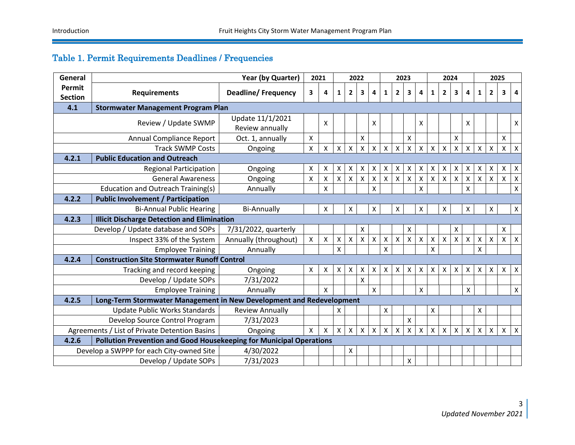# Table 1. Permit Requirements Deadlines / Frequencies

<span id="page-6-0"></span>

| General                                                                       |                                                                     | Year (by Quarter)         |              | 2021                      | 2022         |                    |                    | 2023               |                    |                    |                    | 2024               |                         |                    |                    |                | 2025               |                    |                    |                           |  |
|-------------------------------------------------------------------------------|---------------------------------------------------------------------|---------------------------|--------------|---------------------------|--------------|--------------------|--------------------|--------------------|--------------------|--------------------|--------------------|--------------------|-------------------------|--------------------|--------------------|----------------|--------------------|--------------------|--------------------|---------------------------|--|
| Permit                                                                        | <b>Requirements</b>                                                 | <b>Deadline/Frequency</b> | 3            | 4                         | 1            | $\mathbf{2}$       | 3                  | 4                  | 1                  | $\mathbf{2}$       | 3                  | 4                  | 1                       | $\overline{2}$     | 3                  | 4              | 1                  | $\overline{2}$     | 3                  | 4                         |  |
| <b>Section</b>                                                                |                                                                     |                           |              |                           |              |                    |                    |                    |                    |                    |                    |                    |                         |                    |                    |                |                    |                    |                    |                           |  |
| 4.1                                                                           | <b>Stormwater Management Program Plan</b>                           |                           |              |                           |              |                    |                    |                    |                    |                    |                    |                    |                         |                    |                    |                |                    |                    |                    |                           |  |
|                                                                               | Review / Update SWMP                                                | Update 11/1/2021          |              | X                         |              |                    |                    | X                  |                    |                    |                    | X                  |                         |                    |                    | X              |                    |                    |                    | X                         |  |
|                                                                               |                                                                     | Review annually           |              |                           |              |                    |                    |                    |                    |                    |                    |                    |                         |                    |                    |                |                    |                    |                    |                           |  |
|                                                                               | Annual Compliance Report                                            | Oct. 1, annually          | X            |                           |              |                    | $\pmb{\mathsf{X}}$ |                    |                    |                    | $\pmb{\mathsf{X}}$ |                    |                         |                    | $\pmb{\mathsf{X}}$ |                |                    |                    | X                  |                           |  |
|                                                                               | <b>Track SWMP Costs</b>                                             | Ongoing                   | $\mathsf{X}$ | $\pmb{\times}$            | $\mathsf{X}$ | X                  | X                  | $\mathsf{X}$       | X                  | X                  | X                  | $\mathsf{X}$       | X                       | X                  | X                  | $\mathsf{X}$   | X                  | $\mathsf{x}$       | X                  | $\times$                  |  |
| <b>Public Education and Outreach</b><br>4.2.1                                 |                                                                     |                           |              |                           |              |                    |                    |                    |                    |                    |                    |                    |                         |                    |                    |                |                    |                    |                    |                           |  |
|                                                                               | <b>Regional Participation</b>                                       | Ongoing                   | Χ            | X                         | x            | Х                  | х                  | X                  | х                  | X                  | х                  | Χ                  | Х                       | х                  | х                  | х              | х                  |                    | х                  | $\boldsymbol{\mathsf{X}}$ |  |
|                                                                               | <b>General Awareness</b>                                            | Ongoing                   | X            | $\mathsf{X}$              | Χ            | $\pmb{\mathsf{X}}$ | $\pmb{\mathsf{X}}$ | $\pmb{\mathsf{X}}$ | $\pmb{\mathsf{X}}$ | $\pmb{\mathsf{X}}$ | $\pmb{\mathsf{X}}$ | $\pmb{\mathsf{X}}$ | $\pmb{\mathsf{X}}$      | $\pmb{\mathsf{X}}$ | Χ                  | $\pmb{\times}$ | $\pmb{\mathsf{X}}$ | $\mathsf{X}$       | X                  | X                         |  |
|                                                                               | Education and Outreach Training(s)                                  | Annually                  |              | X                         |              |                    |                    | X                  |                    |                    |                    | $\pmb{\times}$     |                         |                    |                    | X              |                    |                    |                    | X                         |  |
| 4.2.2<br><b>Public Involvement / Participation</b>                            |                                                                     |                           |              |                           |              |                    |                    |                    |                    |                    |                    |                    |                         |                    |                    |                |                    |                    |                    |                           |  |
|                                                                               | <b>Bi-Annual Public Hearing</b>                                     | <b>Bi-Annually</b>        |              | X                         |              | X                  |                    | X                  |                    | X                  |                    | X                  |                         | X                  |                    | X              |                    | X                  |                    | $\mathsf{x}$              |  |
| 4.2.3                                                                         | <b>Illicit Discharge Detection and Elimination</b>                  |                           |              |                           |              |                    |                    |                    |                    |                    |                    |                    |                         |                    |                    |                |                    |                    |                    |                           |  |
|                                                                               | Develop / Update database and SOPs                                  | 7/31/2022, quarterly      |              |                           |              |                    | X                  |                    |                    |                    | X                  |                    |                         |                    | X                  |                |                    |                    | X                  |                           |  |
| Inspect 33% of the System                                                     |                                                                     | Annually (throughout)     | $\mathsf{X}$ | $\boldsymbol{\mathsf{X}}$ | Χ            | $\pmb{\mathsf{X}}$ | X                  | $\pmb{\mathsf{X}}$ | $\mathsf X$        | $\pmb{\mathsf{X}}$ | Χ                  | $\pmb{\times}$     | $\pmb{\mathsf{X}}$      | X                  | X                  | $\mathsf{X}$   | $\mathsf{X}$       | $\pmb{\mathsf{X}}$ | $\pmb{\mathsf{X}}$ | $\boldsymbol{X}$          |  |
|                                                                               | <b>Employee Training</b>                                            | Annually                  |              |                           | X            |                    |                    |                    | X                  |                    |                    |                    | $\mathsf{\overline{X}}$ |                    |                    |                | X.                 |                    |                    |                           |  |
| 4.2.4<br><b>Construction Site Stormwater Runoff Control</b>                   |                                                                     |                           |              |                           |              |                    |                    |                    |                    |                    |                    |                    |                         |                    |                    |                |                    |                    |                    |                           |  |
|                                                                               | Tracking and record keeping                                         | Ongoing                   | Χ            | X                         | Χ            | X                  | х                  | $\mathsf{X}$       | Χ                  | X                  | X                  | $\mathsf{X}$       | X                       | X                  | X                  | X              | X                  | X                  | X                  | $\boldsymbol{X}$          |  |
|                                                                               | Develop / Update SOPs                                               | 7/31/2022                 |              |                           |              |                    | X                  |                    |                    |                    |                    |                    |                         |                    |                    |                |                    |                    |                    |                           |  |
|                                                                               | <b>Employee Training</b>                                            | Annually                  |              | $\mathsf{x}$              |              |                    |                    | X                  |                    |                    |                    | X                  |                         |                    |                    | X              |                    |                    |                    | $\mathsf X$               |  |
| 4.2.5<br>Long-Term Stormwater Management in New Development and Redevelopment |                                                                     |                           |              |                           |              |                    |                    |                    |                    |                    |                    |                    |                         |                    |                    |                |                    |                    |                    |                           |  |
| <b>Update Public Works Standards</b>                                          |                                                                     | <b>Review Annually</b>    |              |                           | X            |                    |                    |                    | Χ                  |                    |                    |                    | $\pmb{\mathsf{X}}$      |                    |                    |                | X                  |                    |                    |                           |  |
|                                                                               | Develop Source Control Program                                      | 7/31/2023                 |              |                           |              |                    |                    |                    |                    |                    | X                  |                    |                         |                    |                    |                |                    |                    |                    |                           |  |
| Agreements / List of Private Detention Basins                                 |                                                                     | Ongoing                   | X            | $\boldsymbol{\mathsf{X}}$ | Χ            | $\pmb{\mathsf{X}}$ | X                  | $\mathsf{X}$       | $\pmb{\mathsf{X}}$ | X                  | X                  | $\pmb{\times}$     | X                       | X                  | X                  | $\mathsf{X}$   | $\pmb{\mathsf{X}}$ | $\mathsf{x}$       | $\pmb{\times}$     | $\mathsf{X}$              |  |
| 4.2.6                                                                         | Pollution Prevention and Good Housekeeping for Municipal Operations |                           |              |                           |              |                    |                    |                    |                    |                    |                    |                    |                         |                    |                    |                |                    |                    |                    |                           |  |
|                                                                               | Develop a SWPPP for each City-owned Site                            | 4/30/2022                 |              |                           |              | Χ                  |                    |                    |                    |                    |                    |                    |                         |                    |                    |                |                    |                    |                    |                           |  |
| Develop / Update SOPs                                                         |                                                                     | 7/31/2023                 |              |                           |              |                    |                    |                    |                    |                    | Χ                  |                    |                         |                    |                    |                |                    |                    |                    |                           |  |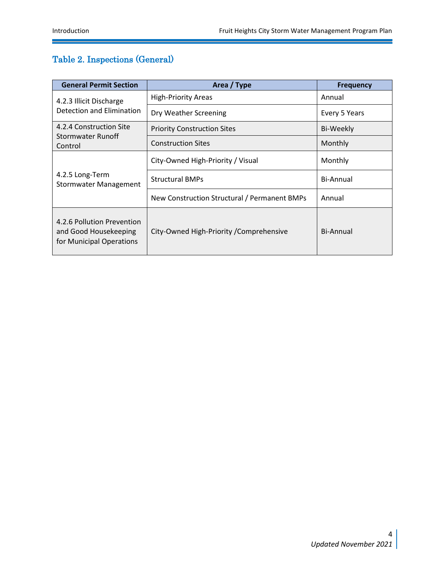# <span id="page-7-0"></span>Table 2. Inspections (General)

| <b>General Permit Section</b>                                                   | Area / Type                                  | <b>Frequency</b> |  |  |  |  |
|---------------------------------------------------------------------------------|----------------------------------------------|------------------|--|--|--|--|
| 4.2.3 Illicit Discharge                                                         | <b>High-Priority Areas</b>                   | Annual           |  |  |  |  |
| Detection and Elimination                                                       | Dry Weather Screening                        | Every 5 Years    |  |  |  |  |
| 4.2.4 Construction Site                                                         | <b>Priority Construction Sites</b>           | Bi-Weekly        |  |  |  |  |
| Stormwater Runoff<br>Control                                                    | <b>Construction Sites</b>                    | Monthly          |  |  |  |  |
|                                                                                 | City-Owned High-Priority / Visual            | Monthly          |  |  |  |  |
| 4.2.5 Long-Term<br><b>Stormwater Management</b>                                 | <b>Structural BMPs</b>                       | Bi-Annual        |  |  |  |  |
|                                                                                 | New Construction Structural / Permanent BMPs | Annual           |  |  |  |  |
| 4.2.6 Pollution Prevention<br>and Good Housekeeping<br>for Municipal Operations | City-Owned High-Priority / Comprehensive     | Bi-Annual        |  |  |  |  |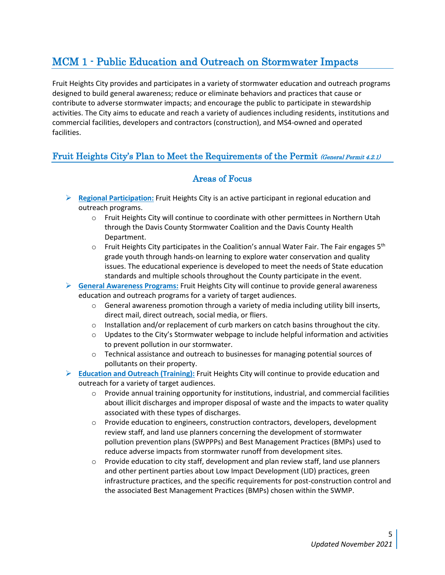# <span id="page-8-0"></span>MCM 1 - Public Education and Outreach on Stormwater Impacts

Fruit Heights City provides and participates in a variety of stormwater education and outreach programs designed to build general awareness; reduce or eliminate behaviors and practices that cause or contribute to adverse stormwater impacts; and encourage the public to participate in stewardship activities. The City aims to educate and reach a variety of audiences including residents, institutions and commercial facilities, developers and contractors (construction), and MS4-owned and operated facilities.

# <span id="page-8-2"></span><span id="page-8-1"></span>Fruit Heights City's Plan to Meet the Requirements of the Permit (General Permit 4.2.1)

- ➢ **Regional Participation:** Fruit Heights City is an active participant in regional education and outreach programs.
	- o Fruit Heights City will continue to coordinate with other permittees in Northern Utah through the Davis County Stormwater Coalition and the Davis County Health Department.
	- $\circ$  Fruit Heights City participates in the Coalition's annual Water Fair. The Fair engages 5<sup>th</sup> grade youth through hands-on learning to explore water conservation and quality issues. The educational experience is developed to meet the needs of State education standards and multiple schools throughout the County participate in the event.
- ➢ **General Awareness Programs:** Fruit Heights City will continue to provide general awareness education and outreach programs for a variety of target audiences.
	- $\circ$  General awareness promotion through a variety of media including utility bill inserts, direct mail, direct outreach, social media, or fliers.
	- $\circ$  Installation and/or replacement of curb markers on catch basins throughout the city.
	- $\circ$  Updates to the City's Stormwater webpage to include helpful information and activities to prevent pollution in our stormwater.
	- $\circ$  Technical assistance and outreach to businesses for managing potential sources of pollutants on their property.
- ➢ **Education and Outreach (Training):** Fruit Heights City will continue to provide education and outreach for a variety of target audiences.
	- $\circ$  Provide annual training opportunity for institutions, industrial, and commercial facilities about illicit discharges and improper disposal of waste and the impacts to water quality associated with these types of discharges.
	- $\circ$  Provide education to engineers, construction contractors, developers, development review staff, and land use planners concerning the development of stormwater pollution prevention plans (SWPPPs) and Best Management Practices (BMPs) used to reduce adverse impacts from stormwater runoff from development sites.
	- $\circ$  Provide education to city staff, development and plan review staff, land use planners and other pertinent parties about Low Impact Development (LID) practices, green infrastructure practices, and the specific requirements for post-construction control and the associated Best Management Practices (BMPs) chosen within the SWMP.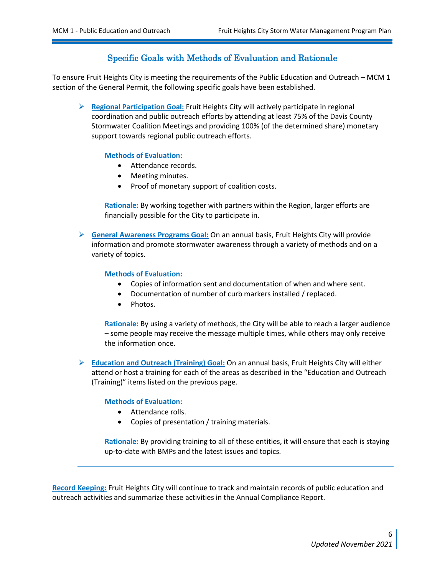# Specific Goals with Methods of Evaluation and Rationale

<span id="page-9-0"></span>To ensure Fruit Heights City is meeting the requirements of the Public Education and Outreach – MCM 1 section of the General Permit, the following specific goals have been established.

➢ **Regional Participation Goal:** Fruit Heights City will actively participate in regional coordination and public outreach efforts by attending at least 75% of the Davis County Stormwater Coalition Meetings and providing 100% (of the determined share) monetary support towards regional public outreach efforts.

#### **Methods of Evaluation:**

- Attendance records.
- Meeting minutes.
- Proof of monetary support of coalition costs.

**Rationale:** By working together with partners within the Region, larger efforts are financially possible for the City to participate in.

➢ **General Awareness Programs Goal:** On an annual basis, Fruit Heights City will provide information and promote stormwater awareness through a variety of methods and on a variety of topics.

#### **Methods of Evaluation:**

- Copies of information sent and documentation of when and where sent.
- Documentation of number of curb markers installed / replaced.
- Photos.

**Rationale:** By using a variety of methods, the City will be able to reach a larger audience – some people may receive the message multiple times, while others may only receive the information once.

➢ **Education and Outreach (Training) Goal:** On an annual basis, Fruit Heights City will either attend or host a training for each of the areas as described in the "Education and Outreach (Training)" items listed on the previous page.

#### **Methods of Evaluation:**

- Attendance rolls.
- Copies of presentation / training materials.

**Rationale:** By providing training to all of these entities, it will ensure that each is staying up-to-date with BMPs and the latest issues and topics.

**Record Keeping:** Fruit Heights City will continue to track and maintain records of public education and outreach activities and summarize these activities in the Annual Compliance Report.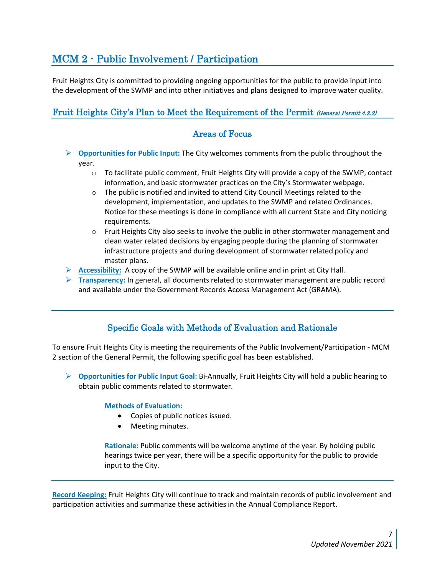# <span id="page-10-0"></span>MCM 2 - Public Involvement / Participation

Fruit Heights City is committed to providing ongoing opportunities for the public to provide input into the development of the SWMP and into other initiatives and plans designed to improve water quality.

# <span id="page-10-2"></span><span id="page-10-1"></span>Fruit Heights City's Plan to Meet the Requirement of the Permit (General Permit 4.2.2)

# Areas of Focus

- ➢ **Opportunities for Public Input:** The City welcomes comments from the public throughout the year.
	- $\circ$  To facilitate public comment, Fruit Heights City will provide a copy of the SWMP, contact information, and basic stormwater practices on the City's Stormwater webpage.
	- $\circ$  The public is notified and invited to attend City Council Meetings related to the development, implementation, and updates to the SWMP and related Ordinances. Notice for these meetings is done in compliance with all current State and City noticing requirements.
	- $\circ$  Fruit Heights City also seeks to involve the public in other stormwater management and clean water related decisions by engaging people during the planning of stormwater infrastructure projects and during development of stormwater related policy and master plans.
- ➢ **Accessibility:** A copy of the SWMP will be available online and in print at City Hall.
- ➢ **Transparency:** In general, all documents related to stormwater management are public record and available under the Government Records Access Management Act (GRAMA).

# Specific Goals with Methods of Evaluation and Rationale

<span id="page-10-3"></span>To ensure Fruit Heights City is meeting the requirements of the Public Involvement/Participation - MCM 2 section of the General Permit, the following specific goal has been established.

➢ **Opportunities for Public Input Goal:** Bi-Annually, Fruit Heights City will hold a public hearing to obtain public comments related to stormwater.

### **Methods of Evaluation:**

- Copies of public notices issued.
- Meeting minutes.

**Rationale:** Public comments will be welcome anytime of the year. By holding public hearings twice per year, there will be a specific opportunity for the public to provide input to the City.

**Record Keeping:** Fruit Heights City will continue to track and maintain records of public involvement and participation activities and summarize these activities in the Annual Compliance Report.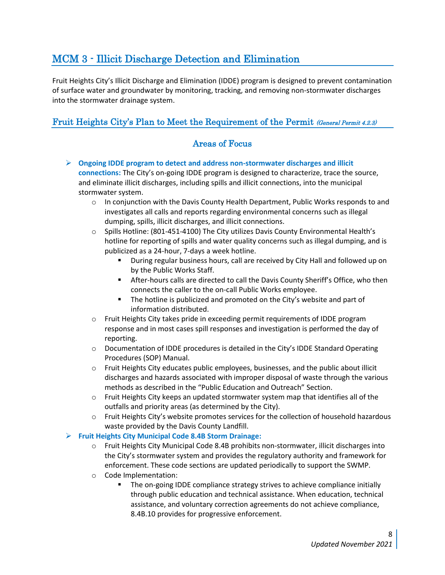# <span id="page-11-0"></span>MCM 3 - Illicit Discharge Detection and Elimination

Fruit Heights City's Illicit Discharge and Elimination (IDDE) program is designed to prevent contamination of surface water and groundwater by monitoring, tracking, and removing non-stormwater discharges into the stormwater drainage system.

# <span id="page-11-2"></span><span id="page-11-1"></span>Fruit Heights City's Plan to Meet the Requirement of the Permit (General Permit 4.2.3)

# Areas of Focus

- ➢ **Ongoing IDDE program to detect and address non-stormwater discharges and illicit connections:** The City's on-going IDDE program is designed to characterize, trace the source, and eliminate illicit discharges, including spills and illicit connections, into the municipal stormwater system.
	- $\circ$  In conjunction with the Davis County Health Department, Public Works responds to and investigates all calls and reports regarding environmental concerns such as illegal dumping, spills, illicit discharges, and illicit connections.
	- o Spills Hotline: (801-451-4100) The City utilizes Davis County Environmental Health's hotline for reporting of spills and water quality concerns such as illegal dumping, and is publicized as a 24-hour, 7-days a week hotline.
		- During regular business hours, call are received by City Hall and followed up on by the Public Works Staff.
		- **EXECT:** After-hours calls are directed to call the Davis County Sheriff's Office, who then connects the caller to the on-call Public Works employee.
		- The hotline is publicized and promoted on the City's website and part of information distributed.
	- o Fruit Heights City takes pride in exceeding permit requirements of IDDE program response and in most cases spill responses and investigation is performed the day of reporting.
	- $\circ$  Documentation of IDDE procedures is detailed in the City's IDDE Standard Operating Procedures (SOP) Manual.
	- $\circ$  Fruit Heights City educates public employees, businesses, and the public about illicit discharges and hazards associated with improper disposal of waste through the various methods as described in the "Public Education and Outreach" Section.
	- $\circ$  Fruit Heights City keeps an updated stormwater system map that identifies all of the outfalls and priority areas (as determined by the City).
	- $\circ$  Fruit Heights City's website promotes services for the collection of household hazardous waste provided by the Davis County Landfill.

## ➢ **Fruit Heights City Municipal Code 8.4B Storm Drainage:**

- o Fruit Heights City Municipal Code 8.4B prohibits non-stormwater, illicit discharges into the City's stormwater system and provides the regulatory authority and framework for enforcement. These code sections are updated periodically to support the SWMP.
- o Code Implementation:
	- **•** The on-going IDDE compliance strategy strives to achieve compliance initially through public education and technical assistance. When education, technical assistance, and voluntary correction agreements do not achieve compliance, 8.4B.10 provides for progressive enforcement.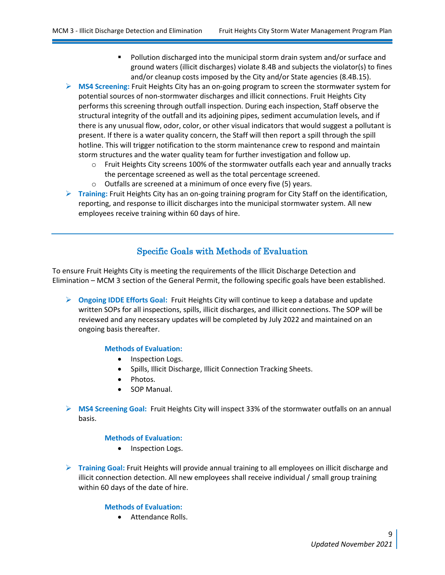- Pollution discharged into the municipal storm drain system and/or surface and ground waters (illicit discharges) violate 8.4B and subjects the violator(s) to fines and/or cleanup costs imposed by the City and/or State agencies (8.4B.15).
- ➢ **MS4 Screening:** Fruit Heights City has an on-going program to screen the stormwater system for potential sources of non-stormwater discharges and illicit connections. Fruit Heights City performs this screening through outfall inspection. During each inspection, Staff observe the structural integrity of the outfall and its adjoining pipes, sediment accumulation levels, and if there is any unusual flow, odor, color, or other visual indicators that would suggest a pollutant is present. If there is a water quality concern, the Staff will then report a spill through the spill hotline. This will trigger notification to the storm maintenance crew to respond and maintain storm structures and the water quality team for further investigation and follow up.
	- $\circ$  Fruit Heights City screens 100% of the stormwater outfalls each year and annually tracks the percentage screened as well as the total percentage screened.
	- o Outfalls are screened at a minimum of once every five (5) years.
- ➢ **Training:** Fruit Heights City has an on-going training program for City Staff on the identification, reporting, and response to illicit discharges into the municipal stormwater system. All new employees receive training within 60 days of hire.

# Specific Goals with Methods of Evaluation

<span id="page-12-0"></span>To ensure Fruit Heights City is meeting the requirements of the Illicit Discharge Detection and Elimination – MCM 3 section of the General Permit, the following specific goals have been established.

➢ **Ongoing IDDE Efforts Goal:** Fruit Heights City will continue to keep a database and update written SOPs for all inspections, spills, illicit discharges, and illicit connections. The SOP will be reviewed and any necessary updates will be completed by July 2022 and maintained on an ongoing basis thereafter.

#### **Methods of Evaluation:**

- Inspection Logs.
- Spills, Illicit Discharge, Illicit Connection Tracking Sheets.
- Photos.
- SOP Manual.
- ➢ **MS4 Screening Goal:** Fruit Heights City will inspect 33% of the stormwater outfalls on an annual basis.

#### **Methods of Evaluation:**

- Inspection Logs.
- ➢ **Training Goal:** Fruit Heights will provide annual training to all employees on illicit discharge and illicit connection detection. All new employees shall receive individual / small group training within 60 days of the date of hire.

#### **Methods of Evaluation:**

• Attendance Rolls.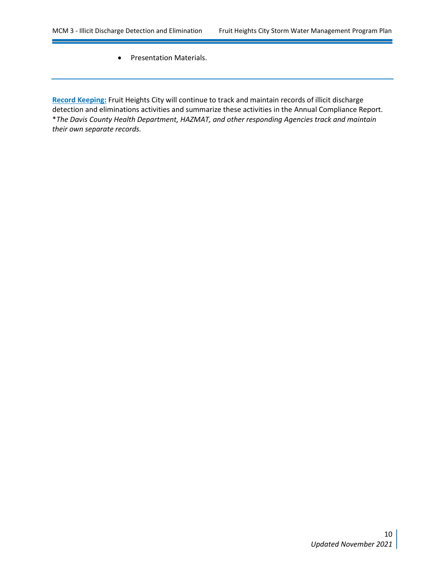<u> Tanzania (h. 1888).</u>

 $\overline{\phantom{a}}$ 

• Presentation Materials.

**Record Keeping:** Fruit Heights City will continue to track and maintain records of illicit discharge detection and eliminations activities and summarize these activities in the Annual Compliance Report. \**The Davis County Health Department, HAZMAT, and other responding Agencies track and maintain their own separate records.*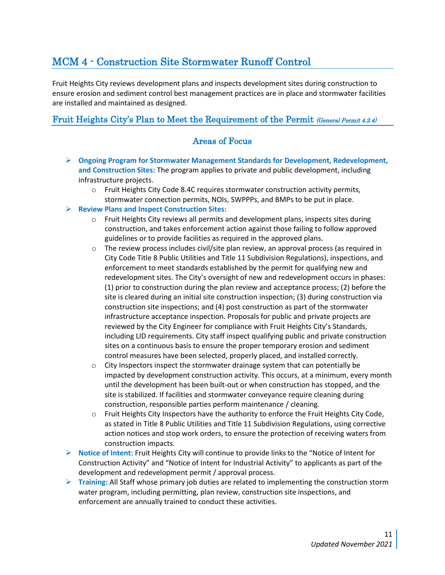# <span id="page-14-0"></span>MCM 4 - Construction Site Stormwater Runoff Control

Fruit Heights City reviews development plans and inspects development sites during construction to ensure erosion and sediment control best management practices are in place and stormwater facilities are installed and maintained as designed.

# <span id="page-14-2"></span><span id="page-14-1"></span>Fruit Heights City's Plan to Meet the Requirement of the Permit (General Permit 4.2.4)

- ➢ **Ongoing Program for Stormwater Management Standards for Development, Redevelopment, and Construction Sites:** The program applies to private and public development, including infrastructure projects.
	- $\circ$  Fruit Heights City Code 8.4C requires stormwater construction activity permits, stormwater connection permits, NOIs, SWPPPs, and BMPs to be put in place.
- ➢ **Review Plans and Inspect Construction Sites:**
	- o Fruit Heights City reviews all permits and development plans, inspects sites during construction, and takes enforcement action against those failing to follow approved guidelines or to provide facilities as required in the approved plans.
	- $\circ$  The review process includes civil/site plan review, an approval process (as required in City Code Title 8 Public Utilities and Title 11 Subdivision Regulations), inspections, and enforcement to meet standards established by the permit for qualifying new and redevelopment sites. The City's oversight of new and redevelopment occurs in phases: (1) prior to construction during the plan review and acceptance process; (2) before the site is cleared during an initial site construction inspection; (3) during construction via construction site inspections; and (4) post construction as part of the stormwater infrastructure acceptance inspection. Proposals for public and private projects are reviewed by the City Engineer for compliance with Fruit Heights City's Standards, including LID requirements. City staff inspect qualifying public and private construction sites on a continuous basis to ensure the proper temporary erosion and sediment control measures have been selected, properly placed, and installed correctly.
	- $\circ$  City Inspectors inspect the stormwater drainage system that can potentially be impacted by development construction activity. This occurs, at a minimum, every month until the development has been built-out or when construction has stopped, and the site is stabilized. If facilities and stormwater conveyance require cleaning during construction, responsible parties perform maintenance / cleaning.
	- $\circ$  Fruit Heights City Inspectors have the authority to enforce the Fruit Heights City Code, as stated in Title 8 Public Utilities and Title 11 Subdivision Regulations, using corrective action notices and stop work orders, to ensure the protection of receiving waters from construction impacts.
- ➢ **Notice of Intent:** Fruit Heights City will continue to provide links to the "Notice of Intent for Construction Activity" and "Notice of Intent for Industrial Activity" to applicants as part of the development and redevelopment permit / approval process.
- ➢ **Training:** All Staff whose primary job duties are related to implementing the construction storm water program, including permitting, plan review, construction site inspections, and enforcement are annually trained to conduct these activities.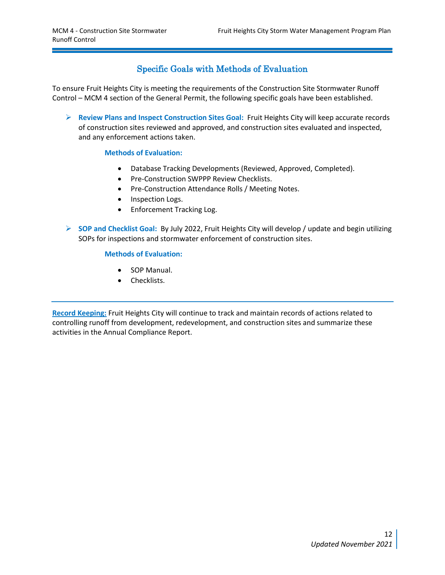# Specific Goals with Methods of Evaluation

<span id="page-15-0"></span>To ensure Fruit Heights City is meeting the requirements of the Construction Site Stormwater Runoff Control – MCM 4 section of the General Permit, the following specific goals have been established.

➢ **Review Plans and Inspect Construction Sites Goal:** Fruit Heights City will keep accurate records of construction sites reviewed and approved, and construction sites evaluated and inspected, and any enforcement actions taken.

### **Methods of Evaluation:**

- Database Tracking Developments (Reviewed, Approved, Completed).
- Pre-Construction SWPPP Review Checklists.
- Pre-Construction Attendance Rolls / Meeting Notes.
- Inspection Logs.
- Enforcement Tracking Log.
- ➢ **SOP and Checklist Goal:** By July 2022, Fruit Heights City will develop / update and begin utilizing SOPs for inspections and stormwater enforcement of construction sites.

#### **Methods of Evaluation:**

- SOP Manual.
- Checklists.

**Record Keeping:** Fruit Heights City will continue to track and maintain records of actions related to controlling runoff from development, redevelopment, and construction sites and summarize these activities in the Annual Compliance Report.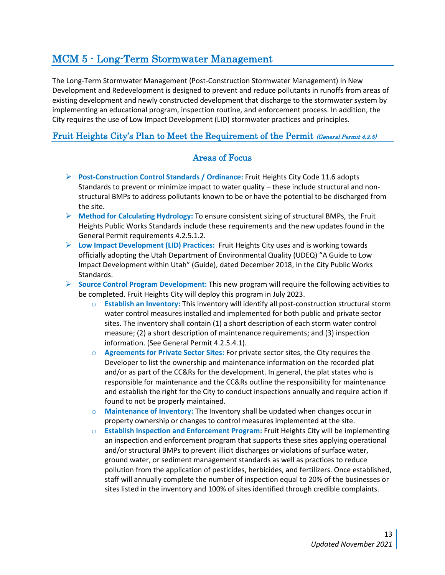# <span id="page-16-0"></span>MCM 5 - Long-Term Stormwater Management

The Long-Term Stormwater Management (Post-Construction Stormwater Management) in New Development and Redevelopment is designed to prevent and reduce pollutants in runoffs from areas of existing development and newly constructed development that discharge to the stormwater system by implementing an educational program, inspection routine, and enforcement process. In addition, the City requires the use of Low Impact Development (LID) stormwater practices and principles.

# <span id="page-16-2"></span><span id="page-16-1"></span>Fruit Heights City's Plan to Meet the Requirement of the Permit (General Permit 4.2.5)

- ➢ **Post-Construction Control Standards / Ordinance:** Fruit Heights City Code 11.6 adopts Standards to prevent or minimize impact to water quality – these include structural and nonstructural BMPs to address pollutants known to be or have the potential to be discharged from the site.
- ➢ **Method for Calculating Hydrology:** To ensure consistent sizing of structural BMPs, the Fruit Heights Public Works Standards include these requirements and the new updates found in the General Permit requirements 4.2.5.1.2.
- ➢ **Low Impact Development (LID) Practices:** Fruit Heights City uses and is working towards officially adopting the Utah Department of Environmental Quality (UDEQ) "A Guide to Low Impact Development within Utah" (Guide), dated December 2018, in the City Public Works Standards.
- ➢ **Source Control Program Development:** This new program will require the following activities to be completed. Fruit Heights City will deploy this program in July 2023.
	- o **Establish an Inventory:** This inventory will identify all post-construction structural storm water control measures installed and implemented for both public and private sector sites. The inventory shall contain (1) a short description of each storm water control measure; (2) a short description of maintenance requirements; and (3) inspection information. (See General Permit 4.2.5.4.1).
	- o **Agreements for Private Sector Sites:** For private sector sites, the City requires the Developer to list the ownership and maintenance information on the recorded plat and/or as part of the CC&Rs for the development. In general, the plat states who is responsible for maintenance and the CC&Rs outline the responsibility for maintenance and establish the right for the City to conduct inspections annually and require action if found to not be properly maintained.
	- o **Maintenance of Inventory:** The Inventory shall be updated when changes occur in property ownership or changes to control measures implemented at the site.
	- o **Establish Inspection and Enforcement Program:** Fruit Heights City will be implementing an inspection and enforcement program that supports these sites applying operational and/or structural BMPs to prevent illicit discharges or violations of surface water, ground water, or sediment management standards as well as practices to reduce pollution from the application of pesticides, herbicides, and fertilizers. Once established, staff will annually complete the number of inspection equal to 20% of the businesses or sites listed in the inventory and 100% of sites identified through credible complaints.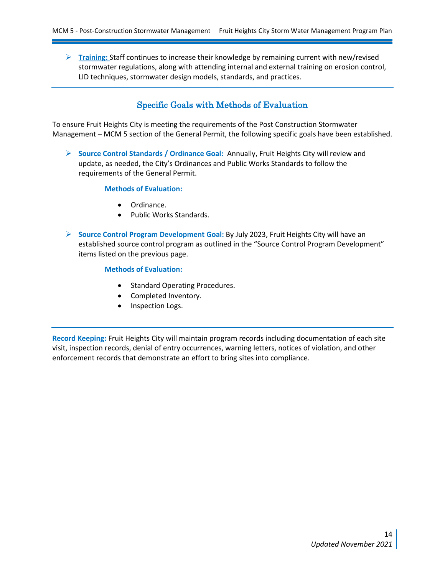➢ **Training:** Staff continues to increase their knowledge by remaining current with new/revised stormwater regulations, along with attending internal and external training on erosion control, LID techniques, stormwater design models, standards, and practices.

# Specific Goals with Methods of Evaluation

<span id="page-17-0"></span>To ensure Fruit Heights City is meeting the requirements of the Post Construction Stormwater Management – MCM 5 section of the General Permit, the following specific goals have been established.

➢ **Source Control Standards / Ordinance Goal:** Annually, Fruit Heights City will review and update, as needed, the City's Ordinances and Public Works Standards to follow the requirements of the General Permit.

#### **Methods of Evaluation:**

- Ordinance.
- Public Works Standards.
- ➢ **Source Control Program Development Goal:** By July 2023, Fruit Heights City will have an established source control program as outlined in the "Source Control Program Development" items listed on the previous page.

#### **Methods of Evaluation:**

- Standard Operating Procedures.
- Completed Inventory.
- Inspection Logs.

**Record Keeping:** Fruit Heights City will maintain program records including documentation of each site visit, inspection records, denial of entry occurrences, warning letters, notices of violation, and other enforcement records that demonstrate an effort to bring sites into compliance.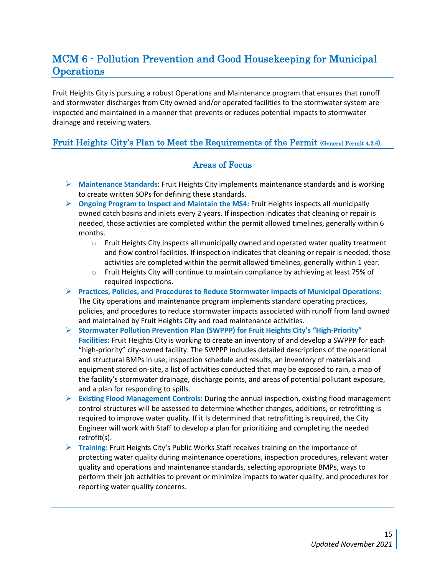# <span id="page-18-0"></span>MCM 6 - Pollution Prevention and Good Housekeeping for Municipal **Operations**

Fruit Heights City is pursuing a robust Operations and Maintenance program that ensures that runoff and stormwater discharges from City owned and/or operated facilities to the stormwater system are inspected and maintained in a manner that prevents or reduces potential impacts to stormwater drainage and receiving waters.

# <span id="page-18-2"></span><span id="page-18-1"></span>Fruit Heights City's Plan to Meet the Requirements of the Permit (General Permit 4.2.6)

- ➢ **Maintenance Standards**: Fruit Heights City implements maintenance standards and is working to create written SOPs for defining these standards.
- ➢ **Ongoing Program to Inspect and Maintain the MS4:** Fruit Heights inspects all municipally owned catch basins and inlets every 2 years. If inspection indicates that cleaning or repair is needed, those activities are completed within the permit allowed timelines, generally within 6 months.
	- $\circ$  Fruit Heights City inspects all municipally owned and operated water quality treatment and flow control facilities. If inspection indicates that cleaning or repair is needed, those activities are completed within the permit allowed timelines, generally within 1 year.
	- $\circ$  Fruit Heights City will continue to maintain compliance by achieving at least 75% of required inspections.
- ➢ **Practices, Policies, and Procedures to Reduce Stormwater Impacts of Municipal Operations:**  The City operations and maintenance program implements standard operating practices, policies, and procedures to reduce stormwater impacts associated with runoff from land owned and maintained by Fruit Heights City and road maintenance activities.
- ➢ **Stormwater Pollution Prevention Plan (SWPPP) for Fruit Heights City's "High-Priority" Facilities:** Fruit Heights City is working to create an inventory of and develop a SWPPP for each "high-priority" city-owned facility. The SWPPP includes detailed descriptions of the operational and structural BMPs in use, inspection schedule and results, an inventory of materials and equipment stored on-site, a list of activities conducted that may be exposed to rain, a map of the facility's stormwater drainage, discharge points, and areas of potential pollutant exposure, and a plan for responding to spills.
- ➢ **Existing Flood Management Controls:** During the annual inspection, existing flood management control structures will be assessed to determine whether changes, additions, or retrofitting is required to improve water quality. If it Is determined that retrofitting is required, the City Engineer will work with Staff to develop a plan for prioritizing and completing the needed retrofit(s).
- ➢ **Training:** Fruit Heights City's Public Works Staff receives training on the importance of protecting water quality during maintenance operations, inspection procedures, relevant water quality and operations and maintenance standards, selecting appropriate BMPs, ways to perform their job activities to prevent or minimize impacts to water quality, and procedures for reporting water quality concerns.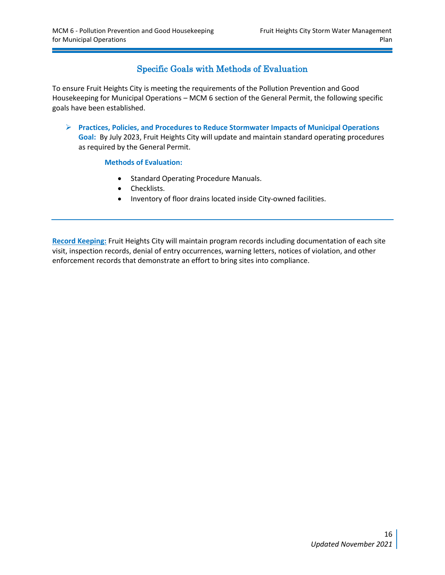# Specific Goals with Methods of Evaluation

<span id="page-19-0"></span>To ensure Fruit Heights City is meeting the requirements of the Pollution Prevention and Good Housekeeping for Municipal Operations – MCM 6 section of the General Permit, the following specific goals have been established.

➢ **Practices, Policies, and Procedures to Reduce Stormwater Impacts of Municipal Operations Goal:** By July 2023, Fruit Heights City will update and maintain standard operating procedures as required by the General Permit.

### **Methods of Evaluation:**

- Standard Operating Procedure Manuals.
- Checklists.
- Inventory of floor drains located inside City-owned facilities.

**Record Keeping:** Fruit Heights City will maintain program records including documentation of each site visit, inspection records, denial of entry occurrences, warning letters, notices of violation, and other enforcement records that demonstrate an effort to bring sites into compliance.